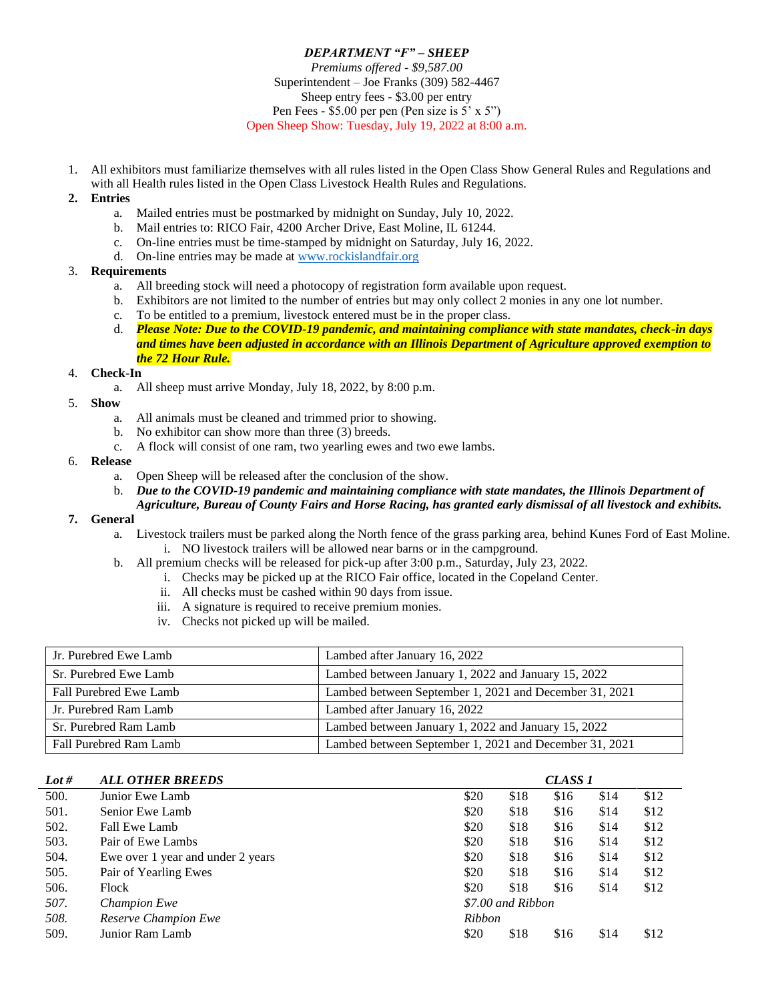# *DEPARTMENT "F" – SHEEP Premiums offered - \$9,587.00* Superintendent – Joe Franks (309) 582-4467 Sheep entry fees - \$3.00 per entry Pen Fees - \$5.00 per pen (Pen size is 5' x 5") Open Sheep Show: Tuesday, July 19, 2022 at 8:00 a.m.

1. All exhibitors must familiarize themselves with all rules listed in the Open Class Show General Rules and Regulations and with all Health rules listed in the Open Class Livestock Health Rules and Regulations.

## **2. Entries**

- a. Mailed entries must be postmarked by midnight on Sunday, July 10, 2022.
- b. Mail entries to: RICO Fair, 4200 Archer Drive, East Moline, IL 61244.
- c. On-line entries must be time-stamped by midnight on Saturday, July 16, 2022.
- d. On-line entries may be made a[t www.rockislandfair.org](http://www.rockislandfair.org/)

## 3. **Requirements**

- a. All breeding stock will need a photocopy of registration form available upon request.
- b. Exhibitors are not limited to the number of entries but may only collect 2 monies in any one lot number.
- c. To be entitled to a premium, livestock entered must be in the proper class.
- d. *Please Note: Due to the COVID-19 pandemic, and maintaining compliance with state mandates, check-in days and times have been adjusted in accordance with an Illinois Department of Agriculture approved exemption to the 72 Hour Rule.*

## 4. **Check-In**

- a. All sheep must arrive Monday, July 18, 2022, by 8:00 p.m.
- 5. **Show**
	- a. All animals must be cleaned and trimmed prior to showing.
	- b. No exhibitor can show more than three (3) breeds.
	- c. A flock will consist of one ram, two yearling ewes and two ewe lambs.

## 6. **Release**

- a. Open Sheep will be released after the conclusion of the show.
- b. *Due to the COVID-19 pandemic and maintaining compliance with state mandates, the Illinois Department of* 
	- *Agriculture, Bureau of County Fairs and Horse Racing, has granted early dismissal of all livestock and exhibits.*

### **7. General**

- a. Livestock trailers must be parked along the North fence of the grass parking area, behind Kunes Ford of East Moline. i. NO livestock trailers will be allowed near barns or in the campground.
- b. All premium checks will be released for pick-up after 3:00 p.m., Saturday, July 23, 2022.
	- i. Checks may be picked up at the RICO Fair office, located in the Copeland Center.
		- ii. All checks must be cashed within 90 days from issue.
		- iii. A signature is required to receive premium monies.
		- iv. Checks not picked up will be mailed.

| Jr. Purebred Ewe Lamb  | Lambed after January 16, 2022                          |
|------------------------|--------------------------------------------------------|
| Sr. Purebred Ewe Lamb  | Lambed between January 1, 2022 and January 15, 2022    |
| Fall Purebred Ewe Lamb | Lambed between September 1, 2021 and December 31, 2021 |
| Jr. Purebred Ram Lamb  | Lambed after January 16, 2022                          |
| Sr. Purebred Ram Lamb  | Lambed between January 1, 2022 and January 15, 2022    |
| Fall Purebred Ram Lamb | Lambed between September 1, 2021 and December 31, 2021 |

| Lot # | <b>ALL OTHER BREEDS</b>           |        |                   | CLASS <sub>1</sub> |      |      |
|-------|-----------------------------------|--------|-------------------|--------------------|------|------|
| 500.  | Junior Ewe Lamb                   | \$20   | \$18              | \$16               | \$14 | \$12 |
| 501.  | Senior Ewe Lamb                   | \$20   | \$18              | \$16               | \$14 | \$12 |
| 502.  | Fall Ewe Lamb                     | \$20   | \$18              | \$16               | \$14 | \$12 |
| 503.  | Pair of Ewe Lambs                 | \$20   | \$18              | \$16               | \$14 | \$12 |
| 504.  | Ewe over 1 year and under 2 years | \$20   | \$18              | \$16               | \$14 | \$12 |
| 505.  | Pair of Yearling Ewes             | \$20   | \$18              | \$16               | \$14 | \$12 |
| 506.  | Flock                             | \$20   | \$18              | \$16               | \$14 | \$12 |
| 507.  | <b>Champion Ewe</b>               |        | \$7.00 and Ribbon |                    |      |      |
| 508.  | Reserve Champion Ewe              | Ribbon |                   |                    |      |      |
| 509.  | Junior Ram Lamb                   | \$20   | \$18              | \$16               | \$14 | \$12 |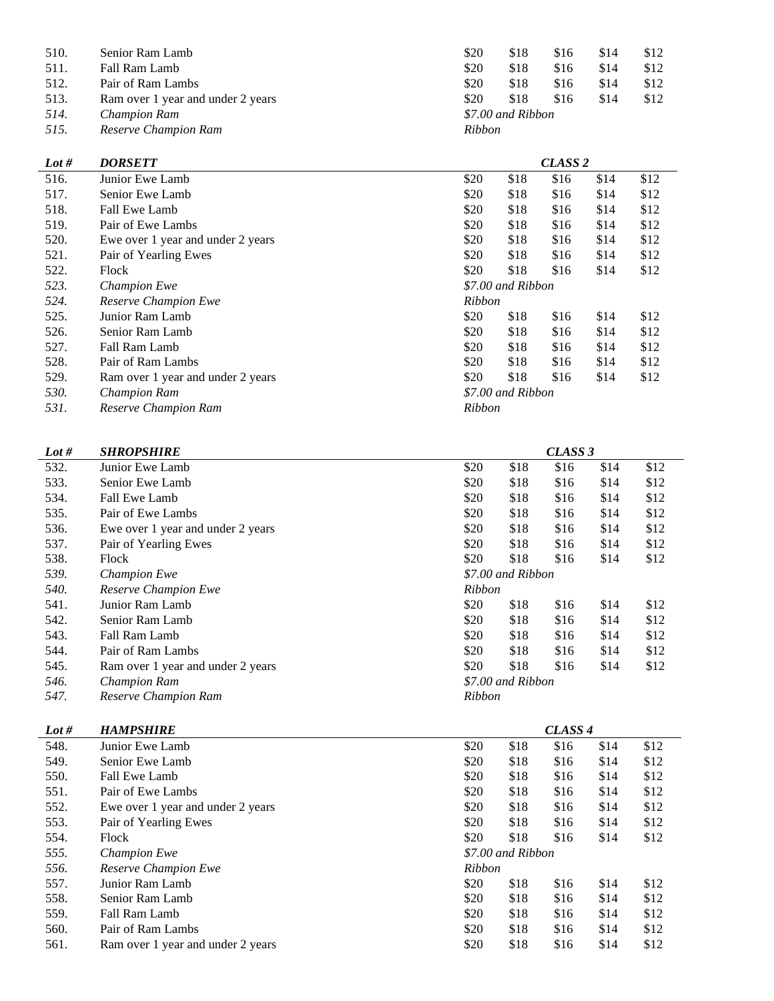| 510. | Senior Ram Lamb                   | \$20   | \$18              | \$16 | \$14 | \$12 |
|------|-----------------------------------|--------|-------------------|------|------|------|
| 511. | Fall Ram Lamb                     | \$20   | \$18              | \$16 | \$14 | \$12 |
| 512. | Pair of Ram Lambs                 | \$20   | \$18              | \$16 | \$14 | \$12 |
| 513. | Ram over 1 year and under 2 years | \$20   | \$18              | \$16 | \$14 | \$12 |
| 514. | <b>Champion Ram</b>               |        | \$7.00 and Ribbon |      |      |      |
| 515. | Reserve Champion Ram              | Ribbon |                   |      |      |      |

| Lot # | <b>DORSETT</b>                    |               |                   | CLASS <sub>2</sub> |      |      |
|-------|-----------------------------------|---------------|-------------------|--------------------|------|------|
| 516.  | Junior Ewe Lamb                   | \$20          | \$18              | \$16               | \$14 | \$12 |
| 517.  | Senior Ewe Lamb                   | \$20          | \$18              | \$16               | \$14 | \$12 |
| 518.  | Fall Ewe Lamb                     | \$20          | \$18              | \$16               | \$14 | \$12 |
| 519.  | Pair of Ewe Lambs                 | \$20          | \$18              | \$16               | \$14 | \$12 |
| 520.  | Ewe over 1 year and under 2 years | \$20          | \$18              | \$16               | \$14 | \$12 |
| 521.  | Pair of Yearling Ewes             | \$20          | \$18              | \$16               | \$14 | \$12 |
| 522.  | Flock                             | \$20          | \$18              | \$16               | \$14 | \$12 |
| 523.  | <b>Champion Ewe</b>               |               | \$7.00 and Ribbon |                    |      |      |
| 524.  | <b>Reserve Champion Ewe</b>       | <b>Ribbon</b> |                   |                    |      |      |
| 525.  | Junior Ram Lamb                   | \$20          | \$18              | \$16               | \$14 | \$12 |
| 526.  | Senior Ram Lamb                   | \$20          | \$18              | \$16               | \$14 | \$12 |
| 527.  | Fall Ram Lamb                     | \$20          | \$18              | \$16               | \$14 | \$12 |
| 528.  | Pair of Ram Lambs                 | \$20          | \$18              | \$16               | \$14 | \$12 |
| 529.  | Ram over 1 year and under 2 years | \$20          | \$18              | \$16               | \$14 | \$12 |
| 530.  | <b>Champion Ram</b>               |               | \$7.00 and Ribbon |                    |      |      |
| 531.  | Reserve Champion Ram              | <b>Ribbon</b> |                   |                    |      |      |

| Lot # | <b>SHROPSHIRE</b> | CLASS 3 |
|-------|-------------------|---------|
|       |                   |         |

| 532. | Junior Ewe Lamb                   | \$20          | \$18              | \$16 | \$14 | \$12 |
|------|-----------------------------------|---------------|-------------------|------|------|------|
| 533. | Senior Ewe Lamb                   | \$20          | \$18              | \$16 | \$14 | \$12 |
| 534. | Fall Ewe Lamb                     | \$20          | \$18              | \$16 | \$14 | \$12 |
| 535. | Pair of Ewe Lambs                 | \$20          | \$18              | \$16 | \$14 | \$12 |
| 536. | Ewe over 1 year and under 2 years | \$20          | \$18              | \$16 | \$14 | \$12 |
| 537. | Pair of Yearling Ewes             | \$20          | \$18              | \$16 | \$14 | \$12 |
| 538. | Flock                             | \$20          | \$18              | \$16 | \$14 | \$12 |
| 539. | <b>Champion Ewe</b>               |               | \$7.00 and Ribbon |      |      |      |
| 540. | Reserve Champion Ewe              | <b>Ribbon</b> |                   |      |      |      |
| 541. | Junior Ram Lamb                   | \$20          | \$18              | \$16 | \$14 | \$12 |
| 542. | Senior Ram Lamb                   | \$20          | \$18              | \$16 | \$14 | \$12 |
| 543. | Fall Ram Lamb                     | \$20          | \$18              | \$16 | \$14 | \$12 |
| 544. | Pair of Ram Lambs                 | \$20          | \$18              | \$16 | \$14 | \$12 |
| 545. | Ram over 1 year and under 2 years | \$20          | \$18              | \$16 | \$14 | \$12 |
| 546. | <b>Champion Ram</b>               |               | \$7.00 and Ribbon |      |      |      |
| 547. | Reserve Champion Ram              | <b>Ribbon</b> |                   |      |      |      |

| Lot # | <b>HAMPSHIRE</b>                  |        |                   | CLASS <sub>4</sub> |      |      |  |
|-------|-----------------------------------|--------|-------------------|--------------------|------|------|--|
| 548.  | Junior Ewe Lamb                   | \$20   | \$18              | \$16               | \$14 | \$12 |  |
| 549.  | Senior Ewe Lamb                   | \$20   | \$18              | \$16               | \$14 | \$12 |  |
| 550.  | Fall Ewe Lamb                     | \$20   | \$18              | \$16               | \$14 | \$12 |  |
| 551.  | Pair of Ewe Lambs                 | \$20   | \$18              | \$16               | \$14 | \$12 |  |
| 552.  | Ewe over 1 year and under 2 years | \$20   | \$18              | \$16               | \$14 | \$12 |  |
| 553.  | Pair of Yearling Ewes             | \$20   | \$18              | \$16               | \$14 | \$12 |  |
| 554.  | Flock                             | \$20   | \$18              | \$16               | \$14 | \$12 |  |
| 555.  | <b>Champion Ewe</b>               |        | \$7.00 and Ribbon |                    |      |      |  |
| 556.  | Reserve Champion Ewe              | Ribbon |                   |                    |      |      |  |
| 557.  | Junior Ram Lamb                   | \$20   | \$18              | \$16               | \$14 | \$12 |  |
| 558.  | Senior Ram Lamb                   | \$20   | \$18              | \$16               | \$14 | \$12 |  |
| 559.  | Fall Ram Lamb                     | \$20   | \$18              | \$16               | \$14 | \$12 |  |
| 560.  | Pair of Ram Lambs                 | \$20   | \$18              | \$16               | \$14 | \$12 |  |
| 561.  | Ram over 1 year and under 2 years | \$20   | \$18              | \$16               | \$14 | \$12 |  |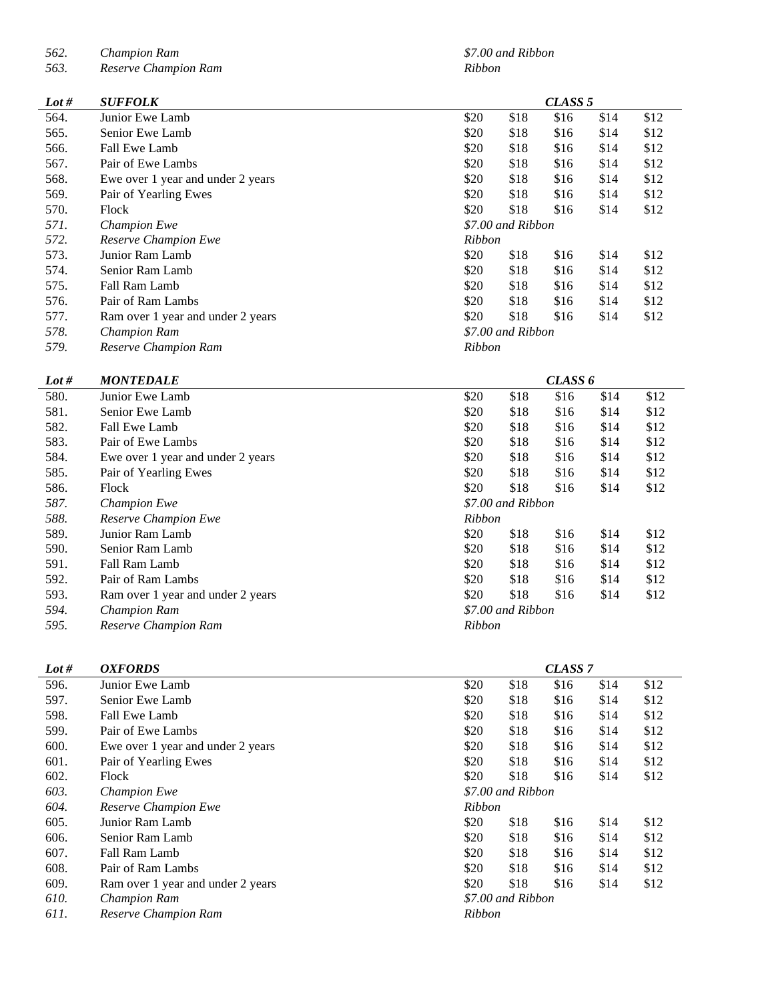*562. Champion Ram \$7.00 and Ribbon*

*563. Reserve Champion Ram Ribbon*

| Lot # | <b>SUFFOLK</b>                    |        |                   | CLASS <sub>5</sub> |      |      |
|-------|-----------------------------------|--------|-------------------|--------------------|------|------|
| 564.  | Junior Ewe Lamb                   | \$20   | \$18              | \$16               | \$14 | \$12 |
| 565.  | Senior Ewe Lamb                   | \$20   | \$18              | \$16               | \$14 | \$12 |
| 566.  | Fall Ewe Lamb                     | \$20   | \$18              | \$16               | \$14 | \$12 |
| 567.  | Pair of Ewe Lambs                 | \$20   | \$18              | \$16               | \$14 | \$12 |
| 568.  | Ewe over 1 year and under 2 years | \$20   | \$18              | \$16               | \$14 | \$12 |
| 569.  | Pair of Yearling Ewes             | \$20   | \$18              | \$16               | \$14 | \$12 |
| 570.  | Flock                             | \$20   | \$18              | \$16               | \$14 | \$12 |
| 571.  | <b>Champion Ewe</b>               |        | \$7.00 and Ribbon |                    |      |      |
| 572.  | Reserve Champion Ewe              | Ribbon |                   |                    |      |      |
| 573.  | Junior Ram Lamb                   | \$20   | \$18              | \$16               | \$14 | \$12 |
| 574.  | Senior Ram Lamb                   | \$20   | \$18              | \$16               | \$14 | \$12 |
| 575.  | Fall Ram Lamb                     | \$20   | \$18              | \$16               | \$14 | \$12 |
| 576.  | Pair of Ram Lambs                 | \$20   | \$18              | \$16               | \$14 | \$12 |
| 577.  | Ram over 1 year and under 2 years | \$20   | \$18              | \$16               | \$14 | \$12 |
| 578.  | <b>Champion Ram</b>               |        | \$7.00 and Ribbon |                    |      |      |
| 579.  | Reserve Champion Ram              | Ribbon |                   |                    |      |      |

| Lot # | <b>MONTEDALE</b>                  | CLASS 6       |                   |      |      |      |  |  |
|-------|-----------------------------------|---------------|-------------------|------|------|------|--|--|
| 580.  | Junior Ewe Lamb                   | \$20          | \$18              | \$16 | \$14 | \$12 |  |  |
| 581.  | Senior Ewe Lamb                   | \$20          | \$18              | \$16 | \$14 | \$12 |  |  |
| 582.  | Fall Ewe Lamb                     | \$20          | \$18              | \$16 | \$14 | \$12 |  |  |
| 583.  | Pair of Ewe Lambs                 | \$20          | \$18              | \$16 | \$14 | \$12 |  |  |
| 584.  | Ewe over 1 year and under 2 years | \$20          | \$18              | \$16 | \$14 | \$12 |  |  |
| 585.  | Pair of Yearling Ewes             | \$20          | \$18              | \$16 | \$14 | \$12 |  |  |
| 586.  | Flock                             | \$20          | \$18              | \$16 | \$14 | \$12 |  |  |
| 587.  | <b>Champion Ewe</b>               |               | \$7.00 and Ribbon |      |      |      |  |  |
| 588.  | <b>Reserve Champion Ewe</b>       | Ribbon        |                   |      |      |      |  |  |
| 589.  | Junior Ram Lamb                   | \$20          | \$18              | \$16 | \$14 | \$12 |  |  |
| 590.  | Senior Ram Lamb                   | \$20          | \$18              | \$16 | \$14 | \$12 |  |  |
| 591.  | Fall Ram Lamb                     | \$20          | \$18              | \$16 | \$14 | \$12 |  |  |
| 592.  | Pair of Ram Lambs                 | \$20          | \$18              | \$16 | \$14 | \$12 |  |  |
| 593.  | Ram over 1 year and under 2 years | \$20          | \$18              | \$16 | \$14 | \$12 |  |  |
| 594.  | <b>Champion Ram</b>               |               | \$7.00 and Ribbon |      |      |      |  |  |
| 595.  | Reserve Champion Ram              | <b>Ribbon</b> |                   |      |      |      |  |  |

| Lot # | <b>OXFORDS</b>                    |        |                   | CLASS <sub>7</sub> |      |      |
|-------|-----------------------------------|--------|-------------------|--------------------|------|------|
| 596.  | Junior Ewe Lamb                   | \$20   | \$18              | \$16               | \$14 | \$12 |
| 597.  | Senior Ewe Lamb                   | \$20   | \$18              | \$16               | \$14 | \$12 |
| 598.  | Fall Ewe Lamb                     | \$20   | \$18              | \$16               | \$14 | \$12 |
| 599.  | Pair of Ewe Lambs                 | \$20   | \$18              | \$16               | \$14 | \$12 |
| 600.  | Ewe over 1 year and under 2 years | \$20   | \$18              | \$16               | \$14 | \$12 |
| 601.  | Pair of Yearling Ewes             | \$20   | \$18              | \$16               | \$14 | \$12 |
| 602.  | Flock                             | \$20   | \$18              | \$16               | \$14 | \$12 |
| 603.  | <b>Champion Ewe</b>               |        | \$7.00 and Ribbon |                    |      |      |
| 604.  | Reserve Champion Ewe              | Ribbon |                   |                    |      |      |
| 605.  | Junior Ram Lamb                   | \$20   | \$18              | \$16               | \$14 | \$12 |
| 606.  | Senior Ram Lamb                   | \$20   | \$18              | \$16               | \$14 | \$12 |
| 607.  | Fall Ram Lamb                     | \$20   | \$18              | \$16               | \$14 | \$12 |
| 608.  | Pair of Ram Lambs                 | \$20   | \$18              | \$16               | \$14 | \$12 |
| 609.  | Ram over 1 year and under 2 years | \$20   | \$18              | \$16               | \$14 | \$12 |
| 610.  | <b>Champion Ram</b>               |        | \$7.00 and Ribbon |                    |      |      |
| 611.  | Reserve Champion Ram              | Ribbon |                   |                    |      |      |